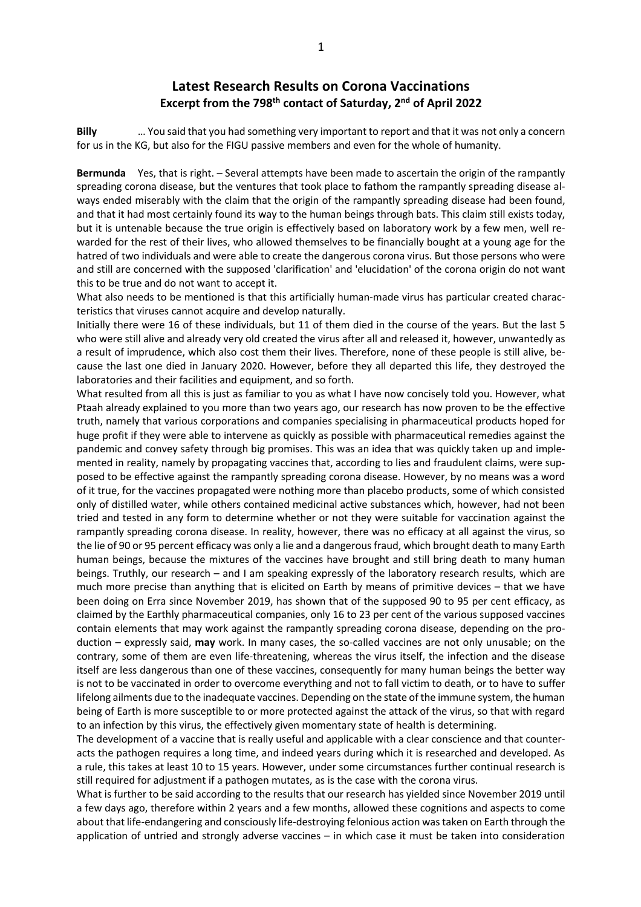## **Latest Research Results on Corona Vaccinations Excerpt from the 798th contact of Saturday, 2nd of April 2022**

**Billy** … You said that you had something very important to report and that it was not only a concern for us in the KG, but also for the FIGU passive members and even for the whole of humanity.

**Bermunda** Yes, that is right. – Several attempts have been made to ascertain the origin of the rampantly spreading corona disease, but the ventures that took place to fathom the rampantly spreading disease always ended miserably with the claim that the origin of the rampantly spreading disease had been found, and that it had most certainly found its way to the human beings through bats. This claim still exists today, but it is untenable because the true origin is effectively based on laboratory work by a few men, well rewarded for the rest of their lives, who allowed themselves to be financially bought at a young age for the hatred of two individuals and were able to create the dangerous corona virus. But those persons who were and still are concerned with the supposed 'clarification' and 'elucidation' of the corona origin do not want this to be true and do not want to accept it.

What also needs to be mentioned is that this artificially human-made virus has particular created characteristics that viruses cannot acquire and develop naturally.

Initially there were 16 of these individuals, but 11 of them died in the course of the years. But the last 5 who were still alive and already very old created the virus after all and released it, however, unwantedly as a result of imprudence, which also cost them their lives. Therefore, none of these people is still alive, because the last one died in January 2020. However, before they all departed this life, they destroyed the laboratories and their facilities and equipment, and so forth.

What resulted from all this is just as familiar to you as what I have now concisely told you. However, what Ptaah already explained to you more than two years ago, our research has now proven to be the effective truth, namely that various corporations and companies specialising in pharmaceutical products hoped for huge profit if they were able to intervene as quickly as possible with pharmaceutical remedies against the pandemic and convey safety through big promises. This was an idea that was quickly taken up and implemented in reality, namely by propagating vaccines that, according to lies and fraudulent claims, were supposed to be effective against the rampantly spreading corona disease. However, by no means was a word of it true, for the vaccines propagated were nothing more than placebo products, some of which consisted only of distilled water, while others contained medicinal active substances which, however, had not been tried and tested in any form to determine whether or not they were suitable for vaccination against the rampantly spreading corona disease. In reality, however, there was no efficacy at all against the virus, so the lie of 90 or 95 percent efficacy was only a lie and a dangerous fraud, which brought death to many Earth human beings, because the mixtures of the vaccines have brought and still bring death to many human beings. Truthly, our research – and I am speaking expressly of the laboratory research results, which are much more precise than anything that is elicited on Earth by means of primitive devices – that we have been doing on Erra since November 2019, has shown that of the supposed 90 to 95 per cent efficacy, as claimed by the Earthly pharmaceutical companies, only 16 to 23 per cent of the various supposed vaccines contain elements that may work against the rampantly spreading corona disease, depending on the production – expressly said, **may** work. In many cases, the so-called vaccines are not only unusable; on the contrary, some of them are even life-threatening, whereas the virus itself, the infection and the disease itself are less dangerous than one of these vaccines, consequently for many human beings the better way is not to be vaccinated in order to overcome everything and not to fall victim to death, or to have to suffer lifelong ailments due to the inadequate vaccines. Depending on the state of the immune system, the human being of Earth is more susceptible to or more protected against the attack of the virus, so that with regard to an infection by this virus, the effectively given momentary state of health is determining.

The development of a vaccine that is really useful and applicable with a clear conscience and that counteracts the pathogen requires a long time, and indeed years during which it is researched and developed. As a rule, this takes at least 10 to 15 years. However, under some circumstances further continual research is still required for adjustment if a pathogen mutates, as is the case with the corona virus.

What is further to be said according to the results that our research has yielded since November 2019 until a few days ago, therefore within 2 years and a few months, allowed these cognitions and aspects to come about that life-endangering and consciously life-destroying felonious action was taken on Earth through the application of untried and strongly adverse vaccines – in which case it must be taken into consideration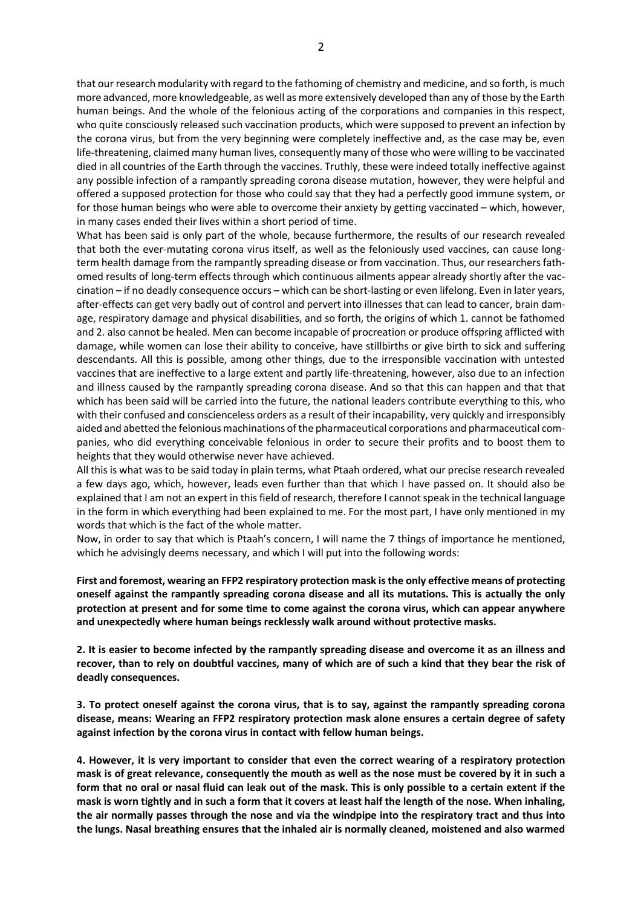that our research modularity with regard to the fathoming of chemistry and medicine, and so forth, is much more advanced, more knowledgeable, as well as more extensively developed than any of those by the Earth human beings. And the whole of the felonious acting of the corporations and companies in this respect, who quite consciously released such vaccination products, which were supposed to prevent an infection by the corona virus, but from the very beginning were completely ineffective and, as the case may be, even life-threatening, claimed many human lives, consequently many of those who were willing to be vaccinated died in all countries of the Earth through the vaccines. Truthly, these were indeed totally ineffective against any possible infection of a rampantly spreading corona disease mutation, however, they were helpful and offered a supposed protection for those who could say that they had a perfectly good immune system, or for those human beings who were able to overcome their anxiety by getting vaccinated – which, however, in many cases ended their lives within a short period of time.

What has been said is only part of the whole, because furthermore, the results of our research revealed that both the ever-mutating corona virus itself, as well as the feloniously used vaccines, can cause longterm health damage from the rampantly spreading disease or from vaccination. Thus, our researchers fathomed results of long-term effects through which continuous ailments appear already shortly after the vaccination – if no deadly consequence occurs – which can be short-lasting or even lifelong. Even in later years, after-effects can get very badly out of control and pervert into illnesses that can lead to cancer, brain damage, respiratory damage and physical disabilities, and so forth, the origins of which 1. cannot be fathomed and 2. also cannot be healed. Men can become incapable of procreation or produce offspring afflicted with damage, while women can lose their ability to conceive, have stillbirths or give birth to sick and suffering descendants. All this is possible, among other things, due to the irresponsible vaccination with untested vaccines that are ineffective to a large extent and partly life-threatening, however, also due to an infection and illness caused by the rampantly spreading corona disease. And so that this can happen and that that which has been said will be carried into the future, the national leaders contribute everything to this, who with their confused and conscienceless orders as a result of their incapability, very quickly and irresponsibly aided and abetted the felonious machinations of the pharmaceutical corporations and pharmaceutical companies, who did everything conceivable felonious in order to secure their profits and to boost them to heights that they would otherwise never have achieved.

All this is what was to be said today in plain terms, what Ptaah ordered, what our precise research revealed a few days ago, which, however, leads even further than that which I have passed on. It should also be explained that I am not an expert in this field of research, therefore I cannot speak in the technical language in the form in which everything had been explained to me. For the most part, I have only mentioned in my words that which is the fact of the whole matter.

Now, in order to say that which is Ptaah's concern, I will name the 7 things of importance he mentioned, which he advisingly deems necessary, and which I will put into the following words:

**First and foremost, wearing an FFP2 respiratory protection mask is the only effective means of protecting oneself against the rampantly spreading corona disease and all its mutations. This is actually the only protection at present and for some time to come against the corona virus, which can appear anywhere and unexpectedly where human beings recklessly walk around without protective masks.**

**2. It is easier to become infected by the rampantly spreading disease and overcome it as an illness and recover, than to rely on doubtful vaccines, many of which are of such a kind that they bear the risk of deadly consequences.**

**3. To protect oneself against the corona virus, that is to say, against the rampantly spreading corona disease, means: Wearing an FFP2 respiratory protection mask alone ensures a certain degree of safety against infection by the corona virus in contact with fellow human beings.**

**4. However, it is very important to consider that even the correct wearing of a respiratory protection mask is of great relevance, consequently the mouth as well as the nose must be covered by it in such a form that no oral or nasal fluid can leak out of the mask. This is only possible to a certain extent if the mask is worn tightly and in such a form that it covers at least half the length of the nose. When inhaling, the air normally passes through the nose and via the windpipe into the respiratory tract and thus into the lungs. Nasal breathing ensures that the inhaled air is normally cleaned, moistened and also warmed**